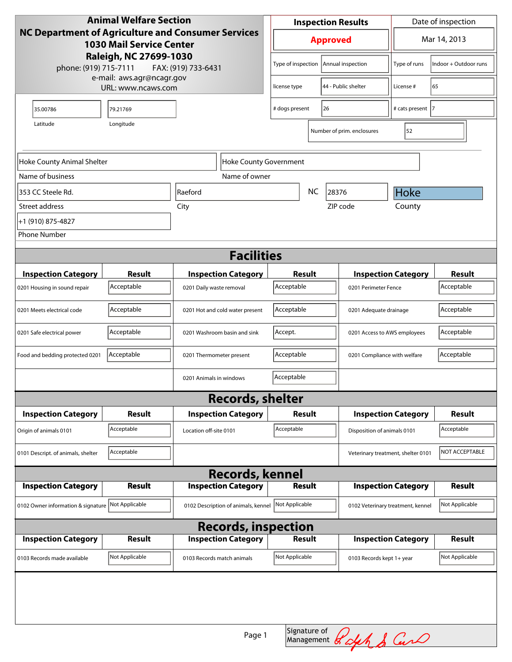| <b>Animal Welfare Section</b>                                                                       |                |                                     |                            | <b>Inspection Results</b>          | Date of inspection                   |                       |  |
|-----------------------------------------------------------------------------------------------------|----------------|-------------------------------------|----------------------------|------------------------------------|--------------------------------------|-----------------------|--|
| <b>NC Department of Agriculture and Consumer Services</b><br><b>1030 Mail Service Center</b>        |                |                                     | <b>Approved</b>            |                                    | Mar 14, 2013                         |                       |  |
| Raleigh, NC 27699-1030<br>phone: (919) 715-7111<br>FAX: (919) 733-6431<br>e-mail: aws.agr@ncagr.gov |                |                                     | Type of inspection         | Annual inspection                  | Type of runs                         | Indoor + Outdoor runs |  |
| URL: www.ncaws.com                                                                                  |                |                                     | license type               | 44 - Public shelter                | License #                            | 65                    |  |
| 35.00786                                                                                            | 79.21769       |                                     | # dogs present<br>26       |                                    | # cats present  7                    |                       |  |
| Longitude<br>Latitude                                                                               |                |                                     | Number of prim. enclosures | 52                                 |                                      |                       |  |
|                                                                                                     |                |                                     |                            |                                    |                                      |                       |  |
| Hoke County Animal Shelter<br>Hoke County Government                                                |                |                                     |                            |                                    |                                      |                       |  |
| Name of business                                                                                    |                | Name of owner                       |                            |                                    |                                      |                       |  |
| 353 CC Steele Rd.                                                                                   |                | Raeford                             | <b>NC</b><br>28376         |                                    | Hoke                                 |                       |  |
| Street address                                                                                      |                | City                                |                            | ZIP code                           | County                               |                       |  |
| +1 (910) 875-4827                                                                                   |                |                                     |                            |                                    |                                      |                       |  |
| <b>Phone Number</b>                                                                                 |                |                                     |                            |                                    |                                      |                       |  |
| <b>Facilities</b>                                                                                   |                |                                     |                            |                                    |                                      |                       |  |
| <b>Inspection Category</b>                                                                          | <b>Result</b>  | <b>Inspection Category</b>          | Result                     |                                    | <b>Inspection Category</b>           | <b>Result</b>         |  |
| 0201 Housing in sound repair                                                                        | Acceptable     | 0201 Daily waste removal            | Acceptable                 |                                    | Acceptable<br>0201 Perimeter Fence   |                       |  |
| 0201 Meets electrical code                                                                          | Acceptable     | 0201 Hot and cold water present     | Acceptable                 |                                    | Acceptable<br>0201 Adequate drainage |                       |  |
| 0201 Safe electrical power                                                                          | Acceptable     | 0201 Washroom basin and sink        | Accept.                    |                                    | 0201 Access to AWS employees         |                       |  |
| Food and bedding protected 0201                                                                     | Acceptable     | 0201 Thermometer present            | Acceptable                 | 0201 Compliance with welfare       |                                      | Acceptable            |  |
|                                                                                                     |                | 0201 Animals in windows             | Acceptable                 |                                    |                                      |                       |  |
| <b>Records, shelter</b>                                                                             |                |                                     |                            |                                    |                                      |                       |  |
| <b>Inspection Category</b>                                                                          | <b>Result</b>  | <b>Inspection Category</b>          | Result                     |                                    | <b>Inspection Category</b>           | <b>Result</b>         |  |
| Origin of animals 0101                                                                              | Acceptable     | Location off-site 0101              | Acceptable                 | Disposition of animals 0101        |                                      | Acceptable            |  |
| 0101 Descript. of animals, shelter                                                                  | Acceptable     |                                     |                            | Veterinary treatment, shelter 0101 |                                      | NOT ACCEPTABLE        |  |
| <b>Records, kennel</b>                                                                              |                |                                     |                            |                                    |                                      |                       |  |
| <b>Inspection Category</b>                                                                          | <b>Result</b>  | <b>Inspection Category</b>          | Result                     |                                    | <b>Inspection Category</b>           | <b>Result</b>         |  |
| 0102 Owner information & signature                                                                  | Not Applicable | 0102 Description of animals, kennel | Not Applicable             |                                    | 0102 Veterinary treatment, kennel    | Not Applicable        |  |
| <b>Records, inspection</b>                                                                          |                |                                     |                            |                                    |                                      |                       |  |
| <b>Inspection Category</b>                                                                          | Result         | <b>Inspection Category</b>          | Result                     |                                    | <b>Inspection Category</b>           | <b>Result</b>         |  |
| 0103 Records made available                                                                         | Not Applicable | 0103 Records match animals          | Not Applicable             | 0103 Records kept 1+ year          |                                      | Not Applicable        |  |
|                                                                                                     |                |                                     |                            |                                    |                                      |                       |  |
|                                                                                                     |                |                                     |                            |                                    |                                      |                       |  |
| Signature of <i>Rolph &amp; Carl</i><br>Page 1                                                      |                |                                     |                            |                                    |                                      |                       |  |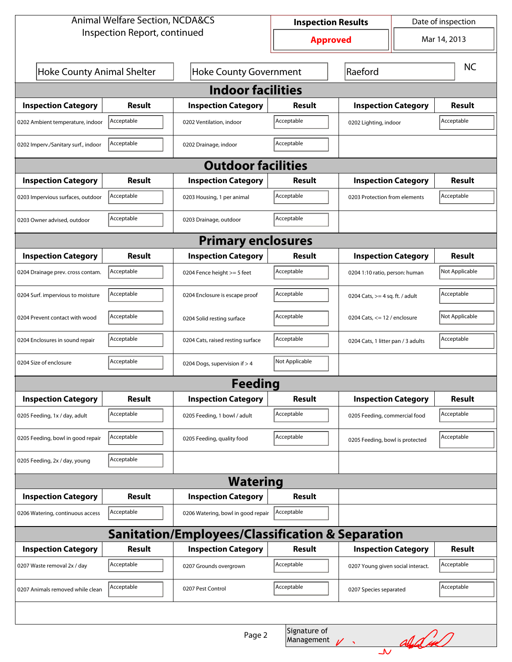| <b>Animal Welfare Section, NCDA&amp;CS</b>                  |               |                                    | <b>Inspection Results</b> |                                             | Date of inspection |                |  |  |
|-------------------------------------------------------------|---------------|------------------------------------|---------------------------|---------------------------------------------|--------------------|----------------|--|--|
| Inspection Report, continued                                |               |                                    | <b>Approved</b>           |                                             | Mar 14, 2013       |                |  |  |
|                                                             |               |                                    |                           |                                             |                    |                |  |  |
| <b>Hoke County Animal Shelter</b>                           |               | <b>Hoke County Government</b>      |                           | Raeford                                     |                    | <b>NC</b>      |  |  |
| <b>Indoor facilities</b>                                    |               |                                    |                           |                                             |                    |                |  |  |
| <b>Inspection Category</b>                                  | <b>Result</b> | <b>Inspection Category</b>         | Result                    | <b>Inspection Category</b>                  |                    | <b>Result</b>  |  |  |
| 0202 Ambient temperature, indoor                            | Acceptable    | 0202 Ventilation, indoor           | Acceptable                | Acceptable<br>0202 Lighting, indoor         |                    |                |  |  |
| 0202 Imperv./Sanitary surf., indoor                         | Acceptable    | 0202 Drainage, indoor              | Acceptable                |                                             |                    |                |  |  |
| <b>Outdoor facilities</b>                                   |               |                                    |                           |                                             |                    |                |  |  |
| <b>Inspection Category</b>                                  | <b>Result</b> | <b>Inspection Category</b>         | Result                    | <b>Inspection Category</b>                  |                    | <b>Result</b>  |  |  |
| 0203 Impervious surfaces, outdoor                           | Acceptable    | 0203 Housing, 1 per animal         | Acceptable                | Acceptable<br>0203 Protection from elements |                    |                |  |  |
| 0203 Owner advised, outdoor                                 | Acceptable    | 0203 Drainage, outdoor             | Acceptable                |                                             |                    |                |  |  |
| <b>Primary enclosures</b>                                   |               |                                    |                           |                                             |                    |                |  |  |
| <b>Inspection Category</b>                                  | <b>Result</b> | <b>Inspection Category</b>         | <b>Result</b>             | <b>Inspection Category</b>                  |                    | <b>Result</b>  |  |  |
| 0204 Drainage prev. cross contam.                           | Acceptable    | 0204 Fence height >= 5 feet        | Acceptable                | 0204 1:10 ratio, person: human              |                    | Not Applicable |  |  |
| 0204 Surf. impervious to moisture                           | Acceptable    | 0204 Enclosure is escape proof     | Acceptable                | 0204 Cats, $>=$ 4 sq. ft. / adult           |                    | Acceptable     |  |  |
| 0204 Prevent contact with wood                              | Acceptable    | 0204 Solid resting surface         | Acceptable                | 0204 Cats, $<= 12$ / enclosure              |                    | Not Applicable |  |  |
| 0204 Enclosures in sound repair                             | Acceptable    | 0204 Cats, raised resting surface  | Acceptable                | 0204 Cats, 1 litter pan / 3 adults          |                    | Acceptable     |  |  |
| 0204 Size of enclosure                                      | Acceptable    | 0204 Dogs, supervision if > 4      | Not Applicable            |                                             |                    |                |  |  |
|                                                             |               | <b>Feeding</b>                     |                           |                                             |                    |                |  |  |
| <b>Inspection Category</b>                                  | Result        | <b>Inspection Category</b>         | <b>Result</b>             | <b>Inspection Category</b>                  |                    | <b>Result</b>  |  |  |
| 0205 Feeding, 1x / day, adult                               | Acceptable    | 0205 Feeding, 1 bowl / adult       | Acceptable                | 0205 Feeding, commercial food               |                    | Acceptable     |  |  |
| 0205 Feeding, bowl in good repair                           | Acceptable    | 0205 Feeding, quality food         | Acceptable                | 0205 Feeding, bowl is protected             |                    | Acceptable     |  |  |
| 0205 Feeding, 2x / day, young                               | Acceptable    |                                    |                           |                                             |                    |                |  |  |
|                                                             |               | <b>Watering</b>                    |                           |                                             |                    |                |  |  |
| <b>Inspection Category</b>                                  | <b>Result</b> | <b>Inspection Category</b>         | <b>Result</b>             |                                             |                    |                |  |  |
| 0206 Watering, continuous access                            | Acceptable    | 0206 Watering, bowl in good repair | Acceptable                |                                             |                    |                |  |  |
| <b>Sanitation/Employees/Classification &amp; Separation</b> |               |                                    |                           |                                             |                    |                |  |  |
| <b>Inspection Category</b>                                  | <b>Result</b> | <b>Inspection Category</b>         | <b>Result</b>             | <b>Inspection Category</b>                  |                    | <b>Result</b>  |  |  |
| 0207 Waste removal 2x / day                                 | Acceptable    | 0207 Grounds overgrown             | Acceptable                | 0207 Young given social interact.           |                    | Acceptable     |  |  |
| 0207 Animals removed while clean                            | Acceptable    | 0207 Pest Control                  | Acceptable                | 0207 Species separated                      |                    | Acceptable     |  |  |
|                                                             |               |                                    |                           |                                             |                    |                |  |  |
| Signature of<br>Page 2<br>Nalded<br>Management              |               |                                    |                           |                                             |                    |                |  |  |
|                                                             |               |                                    |                           | $\Delta$                                    |                    |                |  |  |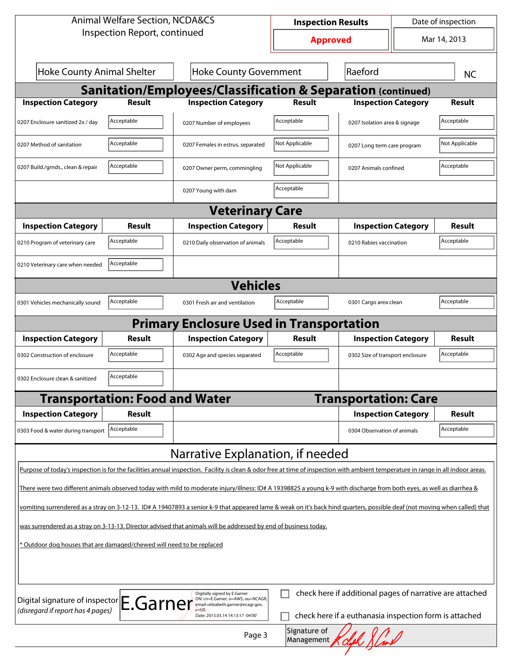| <b>Animal Welfare Section, NCDA&amp;CS</b>                                                                                                                                                                                 |                                       |                                                              | <b>Inspection Results</b> |                                  |              | Date of inspection |  |
|----------------------------------------------------------------------------------------------------------------------------------------------------------------------------------------------------------------------------|---------------------------------------|--------------------------------------------------------------|---------------------------|----------------------------------|--------------|--------------------|--|
| Inspection Report, continued                                                                                                                                                                                               |                                       | <b>Approved</b>                                              |                           |                                  | Mar 14, 2013 |                    |  |
| <b>Hoke County Animal Shelter</b><br><b>Hoke County Government</b>                                                                                                                                                         |                                       |                                                              | Raeford                   |                                  | <b>NC</b>    |                    |  |
|                                                                                                                                                                                                                            |                                       | Sanitation/Employees/Classification & Separation (continued) |                           |                                  |              |                    |  |
| <b>Inspection Category</b>                                                                                                                                                                                                 | <b>Result</b>                         | <b>Inspection Category</b>                                   | <b>Result</b>             | <b>Inspection Category</b>       |              | <b>Result</b>      |  |
| 0207 Enclosure sanitized 2x / day                                                                                                                                                                                          | Acceptable                            | 0207 Number of employees                                     | Acceptable                | 0207 Isolation area & signage    |              | Acceptable         |  |
| 0207 Method of sanitation                                                                                                                                                                                                  | Acceptable                            | 0207 Females in estrus, separated                            | Not Applicable            | 0207 Long term care program      |              | Not Applicable     |  |
| 0207 Build./grnds., clean & repair                                                                                                                                                                                         | Acceptable                            | 0207 Owner perm, commingling                                 | Not Applicable            | 0207 Animals confined            |              | Acceptable         |  |
|                                                                                                                                                                                                                            |                                       | 0207 Young with dam                                          | Acceptable                |                                  |              |                    |  |
| <b>Veterinary Care</b>                                                                                                                                                                                                     |                                       |                                                              |                           |                                  |              |                    |  |
| <b>Inspection Category</b>                                                                                                                                                                                                 | Result                                | <b>Inspection Category</b>                                   | Result                    | <b>Inspection Category</b>       |              | <b>Result</b>      |  |
| 0210 Program of veterinary care                                                                                                                                                                                            | Acceptable                            | 0210 Daily observation of animals                            | Acceptable                | 0210 Rabies vaccination          |              | Acceptable         |  |
| Acceptable<br>0210 Veterinary care when needed                                                                                                                                                                             |                                       |                                                              |                           |                                  |              |                    |  |
| <b>Vehicles</b>                                                                                                                                                                                                            |                                       |                                                              |                           |                                  |              |                    |  |
| 0301 Vehicles mechanically sound                                                                                                                                                                                           | Acceptable                            | 0301 Fresh air and ventilation                               | Acceptable                | 0301 Cargo area clean            |              | Acceptable         |  |
|                                                                                                                                                                                                                            |                                       | <b>Primary Enclosure Used in Transportation</b>              |                           |                                  |              |                    |  |
| <b>Inspection Category</b>                                                                                                                                                                                                 | Result                                | <b>Inspection Category</b>                                   | Result                    | <b>Inspection Category</b>       |              | <b>Result</b>      |  |
| 0302 Construction of enclosure                                                                                                                                                                                             | Acceptable                            | 0302 Age and species separated                               | Acceptable                | 0302 Size of transport enclosure |              | Acceptable         |  |
| Acceptable<br>0302 Enclosure clean & sanitized                                                                                                                                                                             |                                       |                                                              |                           |                                  |              |                    |  |
|                                                                                                                                                                                                                            | <b>Transportation: Food and Water</b> |                                                              |                           | <b>Transportation: Care</b>      |              |                    |  |
| <b>Inspection Category</b>                                                                                                                                                                                                 | <b>Result</b>                         |                                                              |                           | <b>Inspection Category</b>       |              | <b>Result</b>      |  |
| 0303 Food & water during transport                                                                                                                                                                                         | Acceptable                            |                                                              |                           | 0304 Observation of animals      |              | Acceptable         |  |
|                                                                                                                                                                                                                            |                                       | Narrative Explanation, if needed                             |                           |                                  |              |                    |  |
| Purpose of today's inspection is for the facilities annual inspection. Facility is clean & odor free at time of inspection with ambient temperature in range in all indoor areas.                                          |                                       |                                                              |                           |                                  |              |                    |  |
| There were two different animals observed today with mild to moderate injury/illness: ID# A 19398825 a young k-9 with discharge from both eyes, as well as diarrhea &                                                      |                                       |                                                              |                           |                                  |              |                    |  |
| vomiting surrendered as a stray on 3-12-13. ID# A 19407893 a senior k-9 that appeared lame & weak on it's back hind quarters, possible deaf (not moving when called) that                                                  |                                       |                                                              |                           |                                  |              |                    |  |
| was surrendered as a stray on 3-13-13. Director advised that animals will be addressed by end of business today.                                                                                                           |                                       |                                                              |                           |                                  |              |                    |  |
| * Outdoor dog houses that are damaged/chewed will need to be replaced                                                                                                                                                      |                                       |                                                              |                           |                                  |              |                    |  |
|                                                                                                                                                                                                                            |                                       |                                                              |                           |                                  |              |                    |  |
| check here if additional pages of narrative are attached<br>Digitally signed by E.Garner<br>DN: cn=E.Garner, o=AWS, ou=NCAGR,                                                                                              |                                       |                                                              |                           |                                  |              |                    |  |
| Digital signature of inspector E.Garner<br>email=elizabeth.garner@ncagr.gov,<br>(disregard if report has 4 pages)<br>$-115$<br>check here if a euthanasia inspection form is attached<br>Date: 2013.03.14 14:13:17 -04'00' |                                       |                                                              |                           |                                  |              |                    |  |
| Signature of<br>Page 3<br>Management                                                                                                                                                                                       |                                       |                                                              |                           |                                  |              |                    |  |
|                                                                                                                                                                                                                            |                                       |                                                              |                           |                                  |              |                    |  |